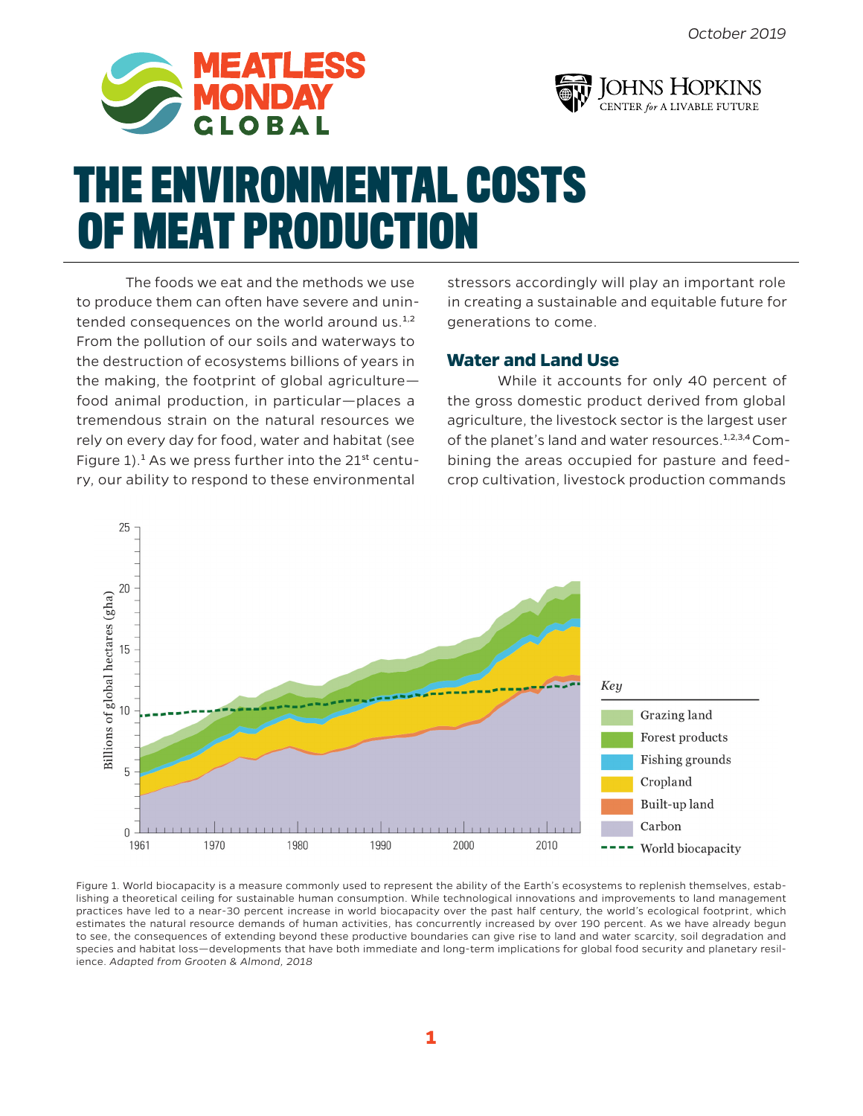



# **THE ENVIRONMENTAL COSTS OF MEAT PRODUCTION**

The foods we eat and the methods we use to produce them can often have severe and unintended consequences on the world around us.<sup>1,2</sup> From the pollution of our soils and waterways to the destruction of ecosystems billions of years in the making, the footprint of global agriculture food animal production, in particular—places a tremendous strain on the natural resources we rely on every day for food, water and habitat (see Figure  $1$ ).<sup>1</sup> As we press further into the  $21^{st}$  century, our ability to respond to these environmental

stressors accordingly will play an important role in creating a sustainable and equitable future for generations to come.

## **Water and Land Use**

While it accounts for only 40 percent of the gross domestic product derived from global agriculture, the livestock sector is the largest user of the planet's land and water resources.<sup>1,2,3,4</sup> Combining the areas occupied for pasture and feedcrop cultivation, livestock production commands



Figure 1. World biocapacity is a measure commonly used to represent the ability of the Earth's ecosystems to replenish themselves, establishing a theoretical ceiling for sustainable human consumption. While technological innovations and improvements to land management practices have led to a near-30 percent increase in world biocapacity over the past half century, the world's ecological footprint, which estimates the natural resource demands of human activities, has concurrently increased by over 190 percent. As we have already begun to see, the consequences of extending beyond these productive boundaries can give rise to land and water scarcity, soil degradation and species and habitat loss—developments that have both immediate and long-term implications for global food security and planetary resilience. *Adapted from Grooten & Almond, 2018*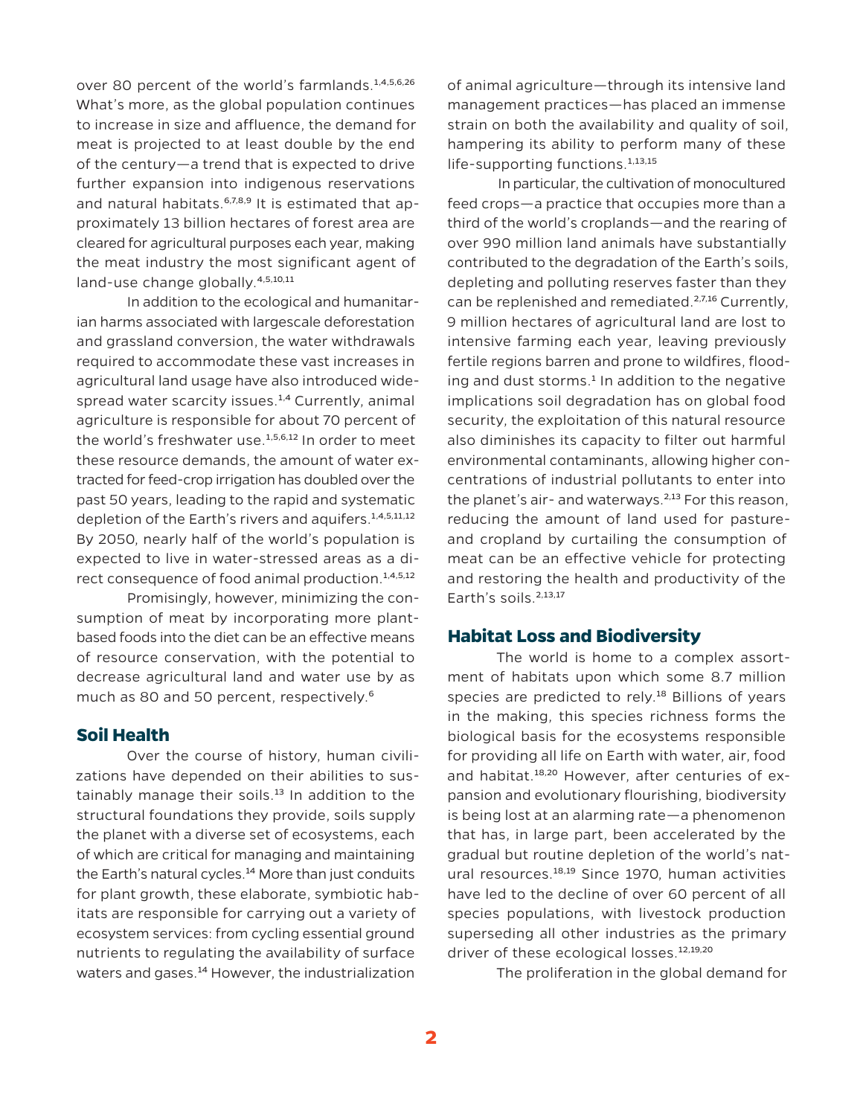over 80 percent of the world's farmlands.<sup>1,4,5,6,26</sup> What's more, as the global population continues to increase in size and affluence, the demand for meat is projected to at least double by the end of the century—a trend that is expected to drive further expansion into indigenous reservations and natural habitats. $6,7,8,9$  It is estimated that approximately 13 billion hectares of forest area are cleared for agricultural purposes each year, making the meat industry the most significant agent of land-use change globally.4,5,10,11

In addition to the ecological and humanitarian harms associated with largescale deforestation and grassland conversion, the water withdrawals required to accommodate these vast increases in agricultural land usage have also introduced widespread water scarcity issues.<sup>1,4</sup> Currently, animal agriculture is responsible for about 70 percent of the world's freshwater use.<sup>1,5,6,12</sup> In order to meet these resource demands, the amount of water extracted for feed-crop irrigation has doubled over the past 50 years, leading to the rapid and systematic depletion of the Earth's rivers and aquifers.<sup>1,4,5,11,12</sup> By 2050, nearly half of the world's population is expected to live in water-stressed areas as a direct consequence of food animal production.<sup>1,4,5,12</sup>

Promisingly, however, minimizing the consumption of meat by incorporating more plantbased foods into the diet can be an effective means of resource conservation, with the potential to decrease agricultural land and water use by as much as 80 and 50 percent, respectively.<sup>6</sup>

#### **Soil Health**

Over the course of history, human civilizations have depended on their abilities to sustainably manage their soils.<sup>13</sup> In addition to the structural foundations they provide, soils supply the planet with a diverse set of ecosystems, each of which are critical for managing and maintaining the Earth's natural cycles.<sup>14</sup> More than just conduits for plant growth, these elaborate, symbiotic habitats are responsible for carrying out a variety of ecosystem services: from cycling essential ground nutrients to regulating the availability of surface waters and gases.<sup>14</sup> However, the industrialization

of animal agriculture—through its intensive land management practices—has placed an immense strain on both the availability and quality of soil, hampering its ability to perform many of these life-supporting functions. $1,13,15$ 

In particular, the cultivation of monocultured feed crops—a practice that occupies more than a third of the world's croplands—and the rearing of over 990 million land animals have substantially contributed to the degradation of the Earth's soils, depleting and polluting reserves faster than they can be replenished and remediated.<sup>2,7,16</sup> Currently, 9 million hectares of agricultural land are lost to intensive farming each year, leaving previously fertile regions barren and prone to wildfires, flooding and dust storms.<sup>1</sup> In addition to the negative implications soil degradation has on global food security, the exploitation of this natural resource also diminishes its capacity to filter out harmful environmental contaminants, allowing higher concentrations of industrial pollutants to enter into the planet's air- and waterways. $2,13$  For this reason, reducing the amount of land used for pastureand cropland by curtailing the consumption of meat can be an effective vehicle for protecting and restoring the health and productivity of the Earth's soils.<sup>2,13,17</sup>

#### **Habitat Loss and Biodiversity**

The world is home to a complex assortment of habitats upon which some 8.7 million species are predicted to rely.<sup>18</sup> Billions of years in the making, this species richness forms the biological basis for the ecosystems responsible for providing all life on Earth with water, air, food and habitat.<sup>18,20</sup> However, after centuries of expansion and evolutionary flourishing, biodiversity is being lost at an alarming rate—a phenomenon that has, in large part, been accelerated by the gradual but routine depletion of the world's natural resources.<sup>18,19</sup> Since 1970, human activities have led to the decline of over 60 percent of all species populations, with livestock production superseding all other industries as the primary driver of these ecological losses.<sup>12,19,20</sup>

The proliferation in the global demand for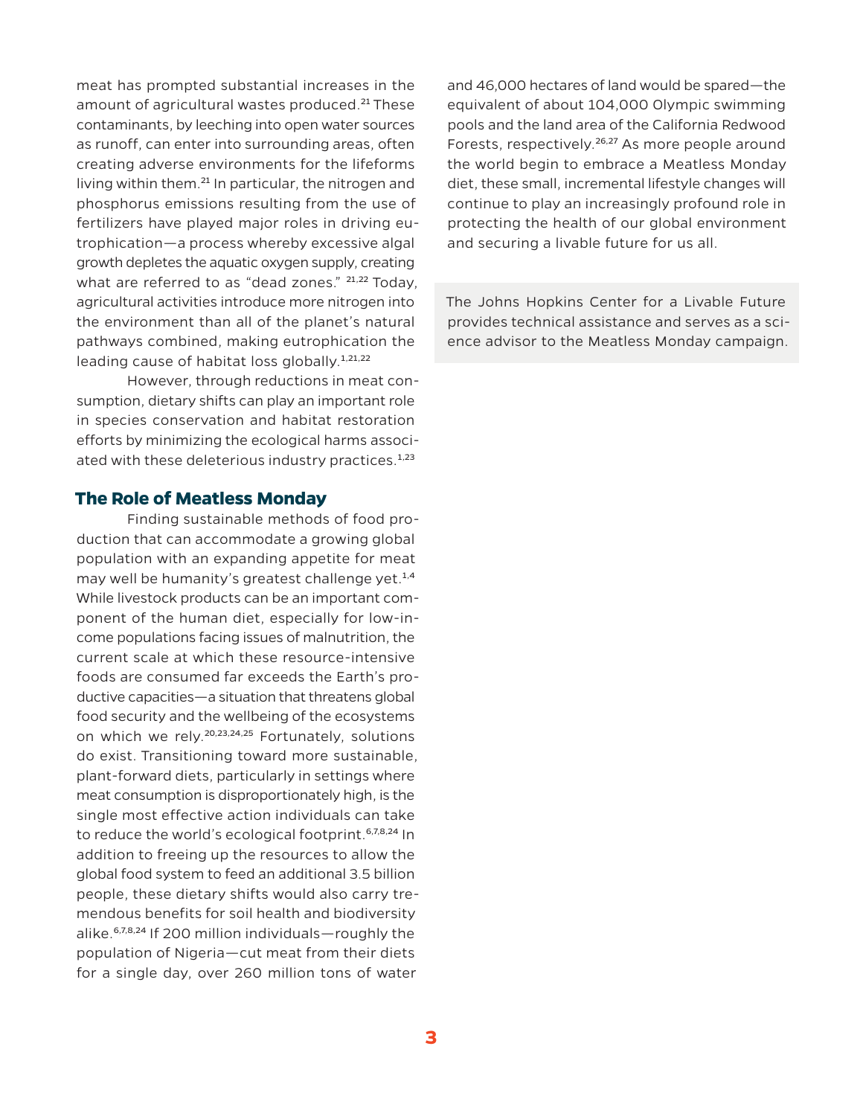meat has prompted substantial increases in the amount of agricultural wastes produced.<sup>21</sup> These contaminants, by leeching into open water sources as runoff, can enter into surrounding areas, often creating adverse environments for the lifeforms living within them.21 In particular, the nitrogen and phosphorus emissions resulting from the use of fertilizers have played major roles in driving eutrophication—a process whereby excessive algal growth depletes the aquatic oxygen supply, creating what are referred to as "dead zones." <sup>21,22</sup> Today, agricultural activities introduce more nitrogen into the environment than all of the planet's natural pathways combined, making eutrophication the leading cause of habitat loss globally.<sup>1,21,22</sup>

However, through reductions in meat consumption, dietary shifts can play an important role in species conservation and habitat restoration efforts by minimizing the ecological harms associated with these deleterious industry practices.<sup>1,23</sup>

### **The Role of Meatless Monday**

Finding sustainable methods of food production that can accommodate a growing global population with an expanding appetite for meat may well be humanity's greatest challenge yet.<sup>1,4</sup> While livestock products can be an important component of the human diet, especially for low-income populations facing issues of malnutrition, the current scale at which these resource-intensive foods are consumed far exceeds the Earth's productive capacities—a situation that threatens global food security and the wellbeing of the ecosystems on which we rely.<sup>20,23,24,25</sup> Fortunately, solutions do exist. Transitioning toward more sustainable, plant-forward diets, particularly in settings where meat consumption is disproportionately high, is the single most effective action individuals can take to reduce the world's ecological footprint.<sup>6,7,8,24</sup> In addition to freeing up the resources to allow the global food system to feed an additional 3.5 billion people, these dietary shifts would also carry tremendous benefits for soil health and biodiversity alike. $6,7,8,24$  If 200 million individuals—roughly the population of Nigeria—cut meat from their diets for a single day, over 260 million tons of water

and 46,000 hectares of land would be spared—the equivalent of about 104,000 Olympic swimming pools and the land area of the California Redwood Forests, respectively.<sup>26,27</sup> As more people around the world begin to embrace a Meatless Monday diet, these small, incremental lifestyle changes will continue to play an increasingly profound role in protecting the health of our global environment and securing a livable future for us all.

The Johns Hopkins Center for a Livable Future provides technical assistance and serves as a science advisor to the Meatless Monday campaign.